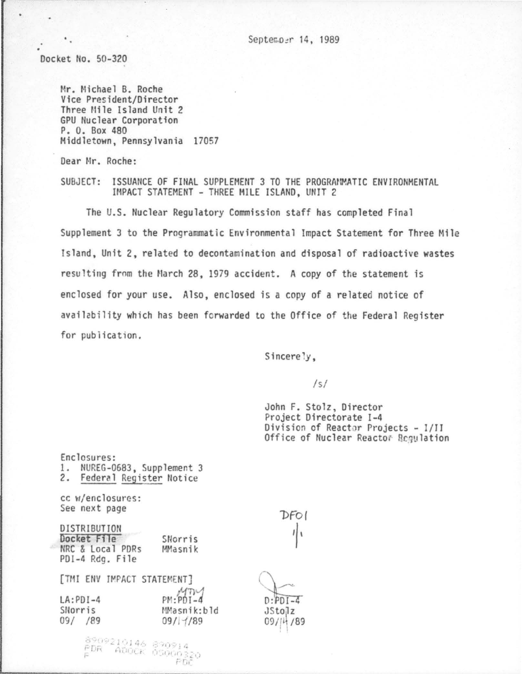Septem.oer 14, 1989

Docket No. 50-320

Mr. Michael B. Roche Vice President/Director Three Mile Island Unit 2 GPU Nuclear Corporation P. 0. Box 480 Middletown, Pennsylvania 17057

Dear Mr. Roche:

SUBJECT: ISSUANCE OF FINAL SUPPLEMENT 3 TO THE PROGRAMMATIC ENVIRONMENTAL IMPACT STATEMENT - THREE MILE ISLAND, UNIT 2

The U.S. Nuclear Regulatory Commission staff has completed Final Supplement 3 to the Programmatic Environmental Impact Statement for Three Mile Island, Unit 2, related to decontamination and disposal of radioactive wastes resulting from the March 28, 1979 accident. A copy of the statement is enclosed for your use. Also, enclosed is a copy of a related notice of availability which has been fcrwarded to the Office of the Federal Register for publication.

 $Since  $\frac{1}{y}$ ,$ 

*Is/* 

John F. Stolz, Director Project Directorate 1-4 Division of Reactor Projects - I/II Office of Nuclear Reactor Requlation

| Enclosures:<br>NUREG-0683, Supplement 3<br>1.   |                         |                           |
|-------------------------------------------------|-------------------------|---------------------------|
| Federal Register Notice<br>2.                   |                         |                           |
| cc w/enclosures:<br>See next page               |                         |                           |
|                                                 |                         | DFO                       |
| DISTRIBUTION<br>Docket File<br>NRC & Local PDRs | SNorris                 |                           |
| PDI-4 Rdg. File                                 | MMasnik                 |                           |
| [TMI ENV IMPACT STATEMENT]                      |                         |                           |
| $LA:PDI-4$                                      | $PM: PDI-4$             | $D:PDI-4$                 |
| SNorris<br>09/ /89                              | MMasnik:bld<br>09/17/89 | <b>JStolz</b><br>09/14/89 |
|                                                 |                         |                           |
| 8909210146 890914<br>PDR - ADOCK 05000320       |                         |                           |
|                                                 | お口に                     |                           |

 $\bar{r}$   $\bar{n}^2$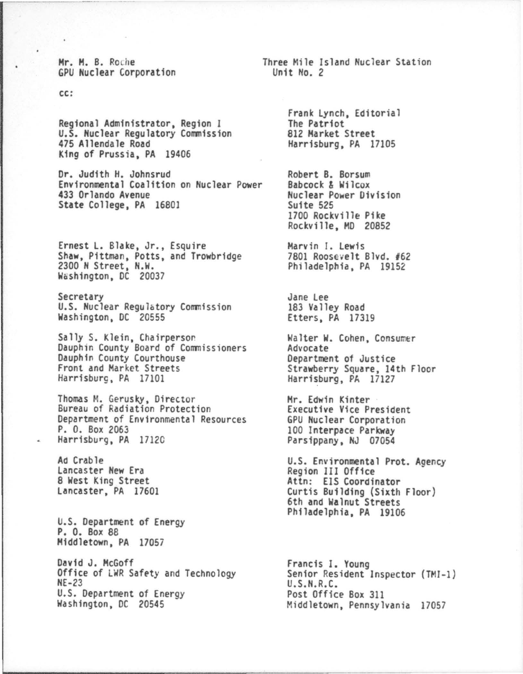Mr. M. B. Roche GPU Nuclear Corporation

CC:

Regional Administrator, Region I U.S. Nuclear Regulatory Commission 475 Allendale Road King of Prussia, PA 19406

Dr. Judith H. Johnsrud Environmental Coalition on Nuclear Power 433 Orlando Avenue State College, PA 16801

Ernest L. Blake, Jr., Esquire<br>Shaw, Pittman, Potts, and Trowbridge<br>2300 N Street, N.W. Washington, DC 20037

Secretary U.S. Nuclear Regulatory Commission Washington, DC 20555

Sally S. Klein, Chairperson Dauphin County Board of Commissioners Dauphin County Courthouse Front and Market Streets Harrisburg, PA 17101

Thomas M. Gerusky, Director<br>Bureau of Radiation Protection Department of Environmental Resources P. O. Box 2063 Harrisburg, PA 17120

Ad Crable Lancaster New Era 8 West King Street Lancaster, PA 17601

U.S. Department of Energy P. O. Box 88 Middletown, PA 17057

David J. McGoff Office of LWR Safety and Technology  $NE-23$ U.S. Department of Energy Washington, DC 20545

Three Mile Island Nuclear Station Unit No. 2

> Frank Lynch, Editorial The Patriot 812 Market Street Harrisburg, PA 17105

Robert B. Borsum Babcock & Wilcox Nuclear Power Division Suite 525 1700 Rockville Pike Rockville, MD 20852

Marvin I. Lewis 7801 Roosevelt Blvd. #62 Philadelphia, PA 19152

Jane Lee 183 Valley Road Etters, PA 17319

Walter W. Cohen, Consumer Advocate Department of Justice Strawberry Square, 14th Floor<br>Harrisburg, PA 17127

Mr. Edwin Kinter Executive Vice President GPU Nuclear Corporation 100 Interpace Parkway<br>Parsippany, NJ 07054

U.S. Environmental Prot. Agency Region III Office Attn: EIS Coordinator Curtis Building (Sixth Floor) 6th and Walnut Streets Philadelphia, PA 19106

Francis I. Young<br>Senior Resident Inspector (TMI-1)<br>U.S.N.R.C. Post Office Box 311 Middletown, Pennsylvania 17057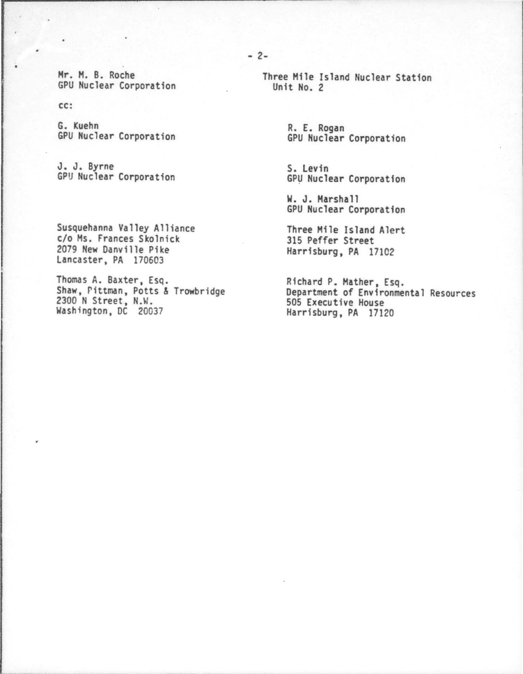Hr. H. B. Roche GPU Nuclear Corporation

cc:

G. Kuehn GPU Nuclear Corporation

J. J. Byrne GPU Nuclear Corporation

Susquehanna Valley Alliance c/o Ms. Frances Skolnick 2079 New Danville Pike Lancaster, PA 170603

Thomas A. Baxter, Esq. Shaw, rittman, Potts & Trowbridge 2300 N Street, N.W. Washington, DC 20037

Unit No. 2

R. E. Rogan<br>GPU Nuclear Corporation

S. Levin GPU Nuclear Corporation

W. J. Marshall GPU Nuclear Corporation

Three Mile Island Alert 315 Peffer Street Harrisburg, PA 17102

Richard P. Mather, Esq. Department of Environmental Resources 505 Executive House Harrisburg, PA 17120